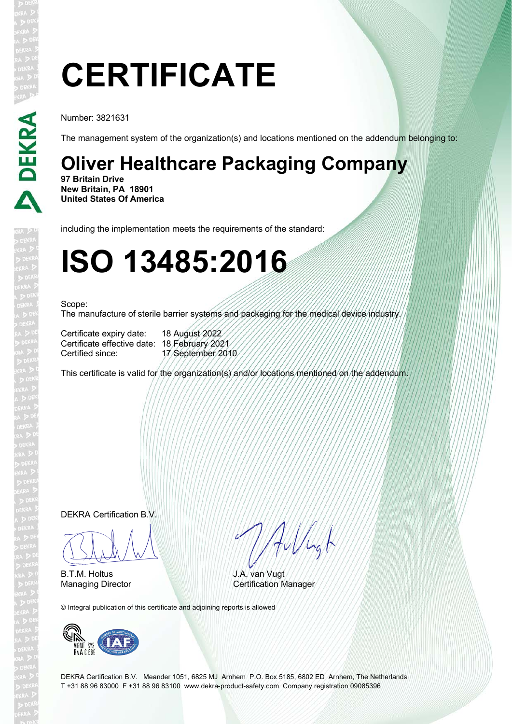# **CERTIFICATE**

Number: 3821631

**DEKRA** 

The management system of the organization(s) and locations mentioned on the addendum belonging to:

## **Oliver Healthcare Packaging Company**

**97 Britain Drive New Britain, PA 18901 United States Of America**

including the implementation meets the requirements of the standard:

## **ISO 13485:2016**

#### Scope:

The manufacture of sterile barrier systems and packaging for the medical device industry.

Certificate expiry date: 18 August 2022 Certificate effective date: 18 February 2021

17 September 2010

This certificate is valid for the organization(s) and/or locations mentioned on the addendum.

DEKRA Certification B.V.

 $\sqrt{11411}$ 

B.T.M. Holtus

HuVlagt

J.A. van Vugt Managing Director **Certification Manager** 

© Integral publication of this certificate and adjoining reports is allowed



DEKRA Certification B.V. Meander 1051, 6825 MJ Arnhem P.O. Box 5185, 6802 ED Arnhem, The Netherlands T +31 88 96 83000 F +31 88 96 83100 www.dekra-product-safety.com Company registration 09085396